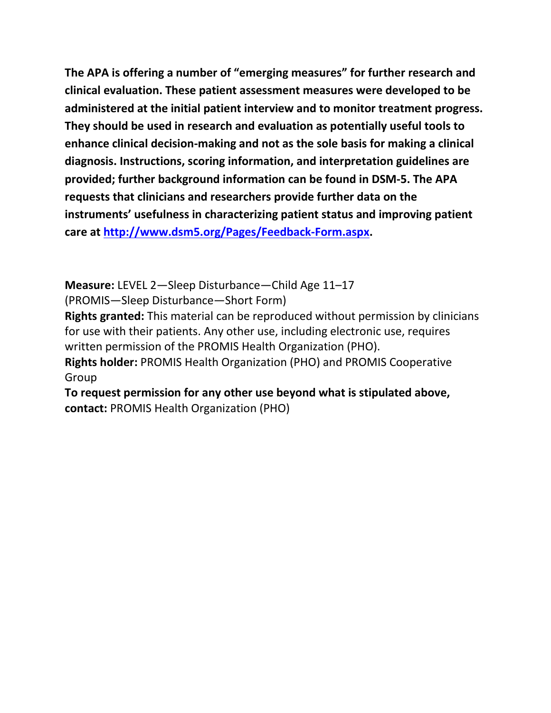**The APA is offering a number of "emerging measures" for further research and clinical evaluation. These patient assessment measures were developed to be administered at the initial patient interview and to monitor treatment progress. They should be used in research and evaluation as potentially useful tools to enhance clinical decision-making and not as the sole basis for making a clinical diagnosis. Instructions, scoring information, and interpretation guidelines are provided; further background information can be found in DSM-5. The APA requests that clinicians and researchers provide further data on the instruments' usefulness in characterizing patient status and improving patient care at [http://www.dsm5.org/Pages/Feedback-Form.aspx.](http://www.dsm5.org/Pages/Feedback-Form.aspx)**

**Measure:** LEVEL 2—Sleep Disturbance—Child Age 11–17

(PROMIS—Sleep Disturbance—Short Form)

**Rights granted:** This material can be reproduced without permission by clinicians for use with their patients. Any other use, including electronic use, requires written permission of the PROMIS Health Organization (PHO).

**Rights holder:** PROMIS Health Organization (PHO) and PROMIS Cooperative Group

**To request permission for any other use beyond what is stipulated above, contact:** PROMIS Health Organization (PHO)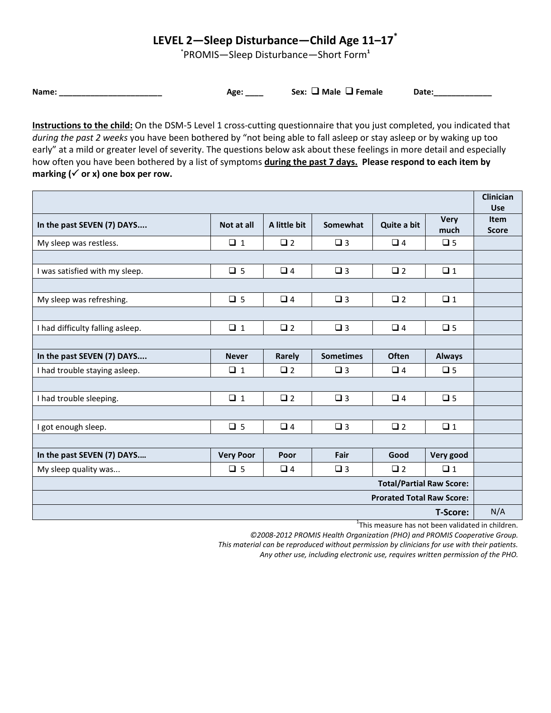## **LEVEL 2—Sleep Disturbance—Child Age 11–17\***

\* PROMIS—Sleep Disturbance—Short Form**<sup>1</sup>**

**Name: Date: Age: Constant Base: Age: Sex: and Male ■ Female** Date:

**Instructions to the child:** On the DSM-5 Level 1 cross-cutting questionnaire that you just completed, you indicated that *during the past 2 weeks* you have been bothered by "not being able to fall asleep or stay asleep or by waking up too early" at a mild or greater level of severity. The questions below ask about these feelings in more detail and especially how often you have been bothered by a list of symptoms **during the past 7 days. Please respond to each item by**  marking  $(\checkmark)$  or x) one box per row.

|                                  |                  |              |                  |              |                     | <b>Clinician</b><br><b>Use</b> |
|----------------------------------|------------------|--------------|------------------|--------------|---------------------|--------------------------------|
| In the past SEVEN (7) DAYS       | Not at all       | A little bit | Somewhat         | Quite a bit  | <b>Very</b><br>much | <b>Item</b><br><b>Score</b>    |
| My sleep was restless.           | $\Box$ 1         | $\Box$ 2     | $\square$ 3      | $\Box$ 4     | $\square$ 5         |                                |
|                                  |                  |              |                  |              |                     |                                |
| I was satisfied with my sleep.   | $\Box$ 5         | $\Box$ 4     | $\Box$ 3         | $\square$ 2  | $\Box$ 1            |                                |
|                                  |                  |              |                  |              |                     |                                |
| My sleep was refreshing.         | $\Box$ 5         | $\Box$ 4     | $\Box$ 3         | $\Box$ 2     | $\Box$ 1            |                                |
|                                  |                  |              |                  |              |                     |                                |
| I had difficulty falling asleep. | $\Box$ 1         | $\square$ 2  | $\square$ 3      | $\Box$ 4     | $\square$ 5         |                                |
|                                  |                  |              |                  |              |                     |                                |
| In the past SEVEN (7) DAYS       | <b>Never</b>     | Rarely       | <b>Sometimes</b> | <b>Often</b> | <b>Always</b>       |                                |
| I had trouble staying asleep.    | $\Box$ 1         | $\Box$ 2     | $\Box$ 3         | $\Box$ 4     | $\Box$ 5            |                                |
|                                  |                  |              |                  |              |                     |                                |
| I had trouble sleeping.          | $\Box$ 1         | $\Box$ 2     | $\square$ 3      | $\Box$ 4     | $\square$ 5         |                                |
|                                  |                  |              |                  |              |                     |                                |
| I got enough sleep.              | $\Box$ 5         | $\Box$ 4     | $\square$ 3      | $\Box$ 2     | $\Box$ 1            |                                |
|                                  |                  |              |                  |              |                     |                                |
| In the past SEVEN (7) DAYS       | <b>Very Poor</b> | Poor         | Fair             | Good         | Very good           |                                |
| My sleep quality was             | $\Box$ 5         | $\Box$ 4     | $\Box$ 3         | $\Box$ 2     | $\Box$ 1            |                                |
| <b>Total/Partial Raw Score:</b>  |                  |              |                  |              |                     |                                |
| <b>Prorated Total Raw Score:</b> |                  |              |                  |              |                     |                                |
| <b>T-Score:</b>                  |                  |              |                  |              |                     | N/A                            |

<sup>1</sup>This measure has not been validated in children.

*©2008-2012 PROMIS Health Organization (PHO) and PROMIS Cooperative Group.*

*This material can be reproduced without permission by clinicians for use with their patients.*

*Any other use, including electronic use, requires written permission of the PHO.*